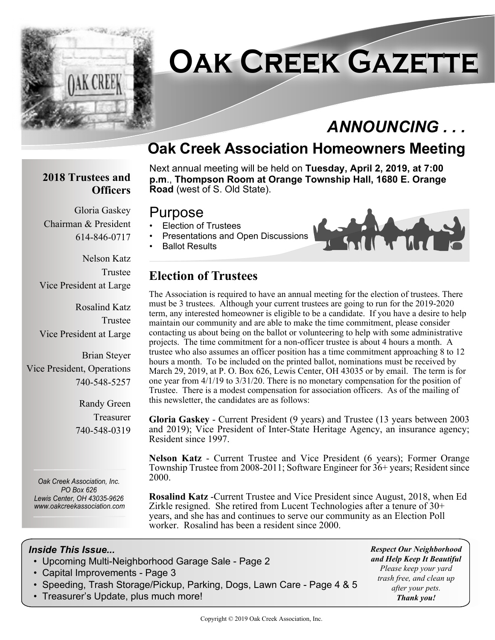

# **Oak Creek Gazette**

# *ANNOUNCING . . .*

# **Oak Creek Association Homeowners Meeting**

#### **2018 Trustees and Officers**

Chairman & President

Vice President at Large

Vice President at Large

Vice President, Operations

Gloria Gaskey

614-846-0717

Nelson Katz

Rosalind Katz

Brian Steyer

740-548-5257

Randy Green Treasurer

740-548-0319

Trustee

Trustee

Next annual meeting will be held on **Tuesday, April 2, 2019, at 7:00 p.m**., **Thompson Room at Orange Township Hall, 1680 E. Orange Road** (west of S. Old State).

#### Purpose

- Election of Trustees
- Presentations and Open Discussions
- Ballot Results



# **Election of Trustees**

The Association is required to have an annual meeting for the election of trustees. There must be 3 trustees. Although your current trustees are going to run for the 2019-2020 term, any interested homeowner is eligible to be a candidate. If you have a desire to help maintain our community and are able to make the time commitment, please consider contacting us about being on the ballot or volunteering to help with some administrative projects. The time commitment for a non-officer trustee is about 4 hours a month. A trustee who also assumes an officer position has a time commitment approaching 8 to 12 hours a month. To be included on the printed ballot, nominations must be received by March 29, 2019, at P. O. Box 626, Lewis Center, OH 43035 or by email. The term is for one year from 4/1/19 to 3/31/20. There is no monetary compensation for the position of Trustee. There is a modest compensation for association officers. As of the mailing of this newsletter, the candidates are as follows:

**Gloria Gaskey** - Current President (9 years) and Trustee (13 years between 2003 and 2019); Vice President of Inter-State Heritage Agency, an insurance agency; Resident since 1997.

**Nelson Katz** - Current Trustee and Vice President (6 years); Former Orange Township Trustee from 2008-2011; Software Engineer for 36+ years; Resident since 2000.

**Rosalind Katz** -Current Trustee and Vice President since August, 2018, when Ed Zirkle resigned. She retired from Lucent Technologies after a tenure of 30+ years, and she has and continues to serve our community as an Election Poll worker. Rosalind has been a resident since 2000.

#### *Inside This Issue...*

*Oak Creek Association, Inc. PO Box 626 Lewis Center, OH 43035-9626 www.oakcreekassociation.com*

- Upcoming Multi-Neighborhood Garage Sale Page 2
- Capital Improvements Page 3
- Speeding, Trash Storage/Pickup, Parking, Dogs, Lawn Care Page 4 & 5
- Treasurer's Update, plus much more!

*Respect Our Neighborhood and Help Keep It Beautiful Please keep your yard trash free, and clean up after your pets. Thank you!*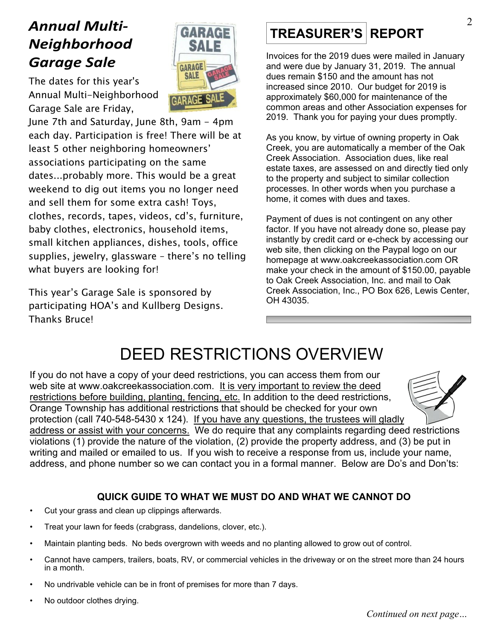# *Annual Multi-Neighborhood Garage Sale*



The dates for this year's Annual Multi-Neighborhood Garage Sale are Friday,

June 7th and Saturday, June 8th, 9am - 4pm each day. Participation is free! There will be at least 5 other neighboring homeowners' associations participating on the same dates...probably more. This would be a great weekend to dig out items you no longer need and sell them for some extra cash! Toys, clothes, records, tapes, videos, cd's, furniture, baby clothes, electronics, household items, small kitchen appliances, dishes, tools, office supplies, jewelry, glassware – there's no telling what buyers are looking for!

This year's Garage Sale is sponsored by participating HOA's and Kullberg Designs. Thanks Bruce!

# **TREASURER'S REPORT**

Invoices for the 2019 dues were mailed in January and were due by January 31, 2019. The annual dues remain \$150 and the amount has not increased since 2010. Our budget for 2019 is approximately \$60,000 for maintenance of the common areas and other Association expenses for 2019. Thank you for paying your dues promptly.

As you know, by virtue of owning property in Oak Creek, you are automatically a member of the Oak Creek Association. Association dues, like real estate taxes, are assessed on and directly tied only to the property and subject to similar collection processes. In other words when you purchase a home, it comes with dues and taxes.

Payment of dues is not contingent on any other factor. If you have not already done so, please pay instantly by credit card or e-check by accessing our web site, then clicking on the Paypal logo on our homepage at www.oakcreekassociation.com OR make your check in the amount of \$150.00, payable to Oak Creek Association, Inc. and mail to Oak Creek Association, Inc., PO Box 626, Lewis Center, OH 43035.

# DEED RESTRICTIONS OVERVIEW

If you do not have a copy of your deed restrictions, you can access them from our web site at www.oakcreekassociation.com. It is very important to review the deed restrictions before building, planting, fencing, etc. In addition to the deed restrictions, Orange Township has additional restrictions that should be checked for your own protection (call 740-548-5430 x 124). If you have any questions, the trustees will gladly



address or assist with your concerns. We do require that any complaints regarding deed restrictions violations (1) provide the nature of the violation, (2) provide the property address, and (3) be put in writing and mailed or emailed to us. If you wish to receive a response from us, include your name, address, and phone number so we can contact you in a formal manner. Below are Do's and Don'ts:

#### **QUICK GUIDE TO WHAT WE MUST DO AND WHAT WE CANNOT DO**

- Cut your grass and clean up clippings afterwards.
- Treat your lawn for feeds (crabgrass, dandelions, clover, etc.).
- Maintain planting beds. No beds overgrown with weeds and no planting allowed to grow out of control.
- Cannot have campers, trailers, boats, RV, or commercial vehicles in the driveway or on the street more than 24 hours in a month.
- No undrivable vehicle can be in front of premises for more than 7 days.
- No outdoor clothes drying.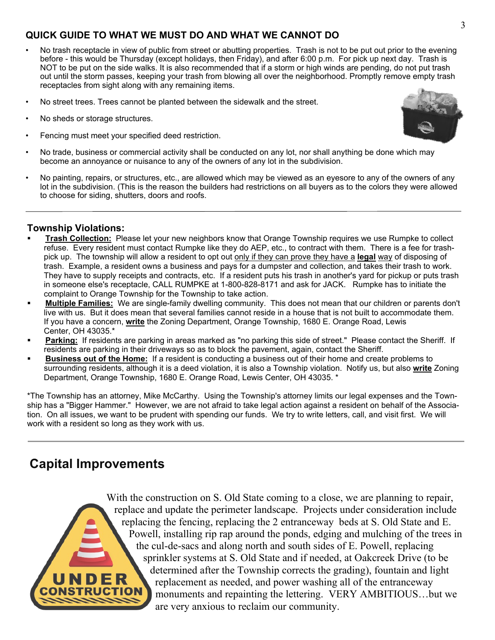#### **QUICK GUIDE TO WHAT WE MUST DO AND WHAT WE CANNOT DO**

- No trash receptacle in view of public from street or abutting properties. Trash is not to be put out prior to the evening before - this would be Thursday (except holidays, then Friday), and after 6:00 p.m. For pick up next day. Trash is NOT to be put on the side walks. It is also recommended that if a storm or high winds are pending, do not put trash out until the storm passes, keeping your trash from blowing all over the neighborhood. Promptly remove empty trash receptacles from sight along with any remaining items.
- No street trees. Trees cannot be planted between the sidewalk and the street.
- No sheds or storage structures.
- Fencing must meet your specified deed restriction.



• No painting, repairs, or structures, etc., are allowed which may be viewed as an eyesore to any of the owners of any lot in the subdivision. (This is the reason the builders had restrictions on all buyers as to the colors they were allowed to choose for siding, shutters, doors and roofs.

#### **Township Violations:**

- ß **Trash Collection:** Please let your new neighbors know that Orange Township requires we use Rumpke to collect refuse. Every resident must contact Rumpke like they do AEP, etc., to contract with them. There is a fee for trashpick up. The township will allow a resident to opt out only if they can prove they have a **legal** way of disposing of trash. Example, a resident owns a business and pays for a dumpster and collection, and takes their trash to work. They have to supply receipts and contracts, etc. If a resident puts his trash in another's yard for pickup or puts trash in someone else's receptacle, CALL RUMPKE at 1-800-828-8171 and ask for JACK. Rumpke has to initiate the complaint to Orange Township for the Township to take action.
- ß **Multiple Families:** We are single-family dwelling community. This does not mean that our children or parents don't live with us. But it does mean that several families cannot reside in a house that is not built to accommodate them. If you have a concern, **write** the Zoning Department, Orange Township, 1680 E. Orange Road, Lewis Center, OH 43035.\*
- **Parking:** If residents are parking in areas marked as "no parking this side of street." Please contact the Sheriff. If residents are parking in their driveways so as to block the pavement, again, contact the Sheriff.
- ß **Business out of the Home:** If a resident is conducting a business out of their home and create problems to surrounding residents, although it is a deed violation, it is also a Township violation. Notify us, but also **write** Zoning Department, Orange Township, 1680 E. Orange Road, Lewis Center, OH 43035. \*

\*The Township has an attorney, Mike McCarthy. Using the Township's attorney limits our legal expenses and the Township has a "Bigger Hammer." However, we are not afraid to take legal action against a resident on behalf of the Association. On all issues, we want to be prudent with spending our funds. We try to write letters, call, and visit first. We will work with a resident so long as they work with us.

### **Capital Improvements**

With the construction on S. Old State coming to a close, we are planning to repair, replace and update the perimeter landscape. Projects under consideration include replacing the fencing, replacing the 2 entranceway beds at S. Old State and E. Powell, installing rip rap around the ponds, edging and mulching of the trees in the cul-de-sacs and along north and south sides of E. Powell, replacing sprinkler systems at S. Old State and if needed, at Oakcreek Drive (to be determined after the Township corrects the grading), fountain and light replacement as needed, and power washing all of the entranceway monuments and repainting the lettering. VERY AMBITIOUS…but we are very anxious to reclaim our community.

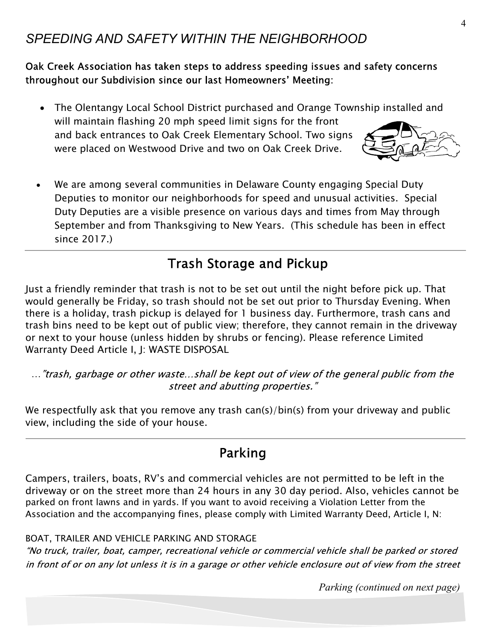### *SPEEDING AND SAFETY WITHIN THE NEIGHBORHOOD*

Oak Creek Association has taken steps to address speeding issues and safety concerns throughout our Subdivision since our last Homeowners' Meeting:

- · The Olentangy Local School District purchased and Orange Township installed and will maintain flashing 20 mph speed limit signs for the front and back entrances to Oak Creek Elementary School. Two signs were placed on Westwood Drive and two on Oak Creek Drive.
- · We are among several communities in Delaware County engaging Special Duty Deputies to monitor our neighborhoods for speed and unusual activities. Special Duty Deputies are a visible presence on various days and times from May through September and from Thanksgiving to New Years. (This schedule has been in effect since 2017.)

## **Trash Storage and Pickup**

Just a friendly reminder that trash is not to be set out until the night before pick up. That would generally be Friday, so trash should not be set out prior to Thursday Evening. When there is a holiday, trash pickup is delayed for 1 business day. Furthermore, trash cans and trash bins need to be kept out of public view; therefore, they cannot remain in the driveway or next to your house (unless hidden by shrubs or fencing). Please reference Limited Warranty Deed Article I, J: WASTE DISPOSAL

..."trash, garbage or other waste...shall be kept out of view of the general public from the street and abutting properties."

We respectfully ask that you remove any trash can(s)/bin(s) from your driveway and public view, including the side of your house.

### Parking

Campers, trailers, boats, RV's and commercial vehicles are not permitted to be left in the driveway or on the street more than 24 hours in any 30 day period. Also, vehicles cannot be parked on front lawns and in yards. If you want to avoid receiving a Violation Letter from the Association and the accompanying fines, please comply with Limited Warranty Deed, Article I, N:

#### BOAT, TRAILER AND VEHICLE PARKING AND STORAGE

"No truck, trailer, boat, camper, recreational vehicle or commercial vehicle shall be parked or stored in front of or on any lot unless it is in a garage or other vehicle enclosure out of view from the street

*Parking (continued on next page)*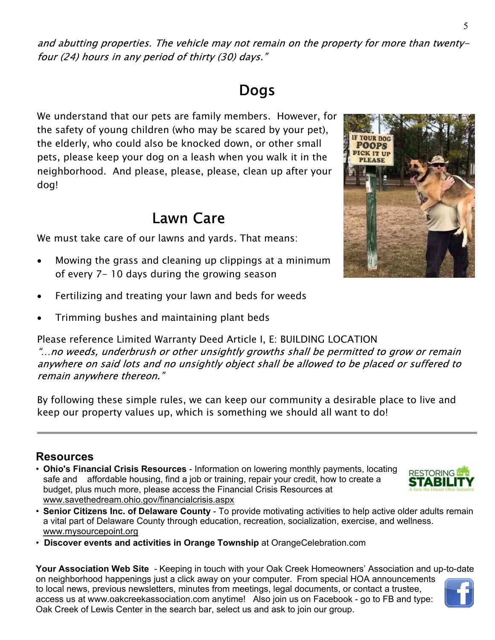# **Dogs**

We understand that our pets are family members. However, for the safety of young children (who may be scared by your pet), the elderly, who could also be knocked down, or other small pets, please keep your dog on a leash when you walk it in the neighborhood. And please, please, please, clean up after your dog!

# **Lawn Care**

We must take care of our lawns and yards. That means:

- Mowing the grass and cleaning up clippings at a minimum of every 7- 10 days during the growing season
- Fertilizing and treating your lawn and beds for weeds
- Trimming bushes and maintaining plant beds

Please reference Limited Warranty Deed Article I, E: BUILDING LOCATION

"...no weeds, underbrush or other unsightly growths shall be permitted to grow or remain anywhere on said lots and no unsightly object shall be allowed to be placed or suffered to remain anywhere thereon."

By following these simple rules, we can keep our community a desirable place to live and keep our property values up, which is something we should all want to do!

#### **Resources**

- **Ohio's Financial Crisis Resources** Information on lowering monthly payments, locating safe and affordable housing, find a job or training, repair your credit, how to create a budget, plus much more, please access the Financial Crisis Resources at www.savethedream.ohio.gov/financialcrisis.aspx
- **Senior Citizens Inc. of Delaware County** To provide motivating activities to help active older adults remain a vital part of Delaware County through education, recreation, socialization, exercise, and wellness. www.mysourcepoint.org
- **Discover events and activities in Orange Township** at OrangeCelebration.com

**Your Association Web Site** *-* Keeping in touch with your Oak Creek Homeowners' Association and up-to-date on neighborhood happenings just a click away on your computer. From special HOA announcements to local news, previous newsletters, minutes from meetings, legal documents, or contact a trustee, access us at www.oakcreekassociation.com anytime! Also join us on Facebook - go to FB and type: Oak Creek of Lewis Center in the search bar, select us and ask to join our group.